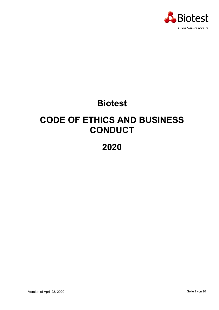

# **Biotest**

# **CODE OF ETHICS AND BUSINESS CONDUCT**

## **2020**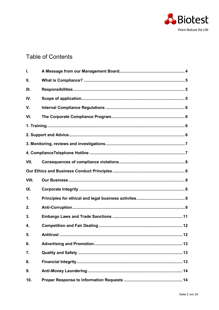

## **Table of Contents**

| I.    |                           |  |  |  |
|-------|---------------------------|--|--|--|
| П.    |                           |  |  |  |
| Ш.    |                           |  |  |  |
| IV.   |                           |  |  |  |
| V.    |                           |  |  |  |
| VI.   |                           |  |  |  |
|       |                           |  |  |  |
|       |                           |  |  |  |
|       |                           |  |  |  |
|       |                           |  |  |  |
| VII.  |                           |  |  |  |
|       |                           |  |  |  |
| VIII. |                           |  |  |  |
| IX.   |                           |  |  |  |
| 1.    |                           |  |  |  |
| 2.    |                           |  |  |  |
| 3.    |                           |  |  |  |
| 4.    |                           |  |  |  |
| 5.    | <b>Antitrust </b><br>. 12 |  |  |  |
| 6.    |                           |  |  |  |
| 7.    |                           |  |  |  |
| 8.    |                           |  |  |  |
| 9.    |                           |  |  |  |
| 10.   |                           |  |  |  |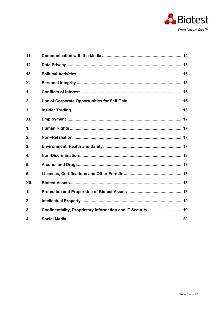

| 11.  |                                                              |  |
|------|--------------------------------------------------------------|--|
| 12.  |                                                              |  |
| 13.  |                                                              |  |
| Χ.   |                                                              |  |
| 1.   |                                                              |  |
| 2.   |                                                              |  |
| 3.   |                                                              |  |
| XI.  |                                                              |  |
| 1.   |                                                              |  |
| 2.   |                                                              |  |
| 3.   |                                                              |  |
| 4.   |                                                              |  |
| 5.   |                                                              |  |
| 6.   |                                                              |  |
| XII. |                                                              |  |
| 1.   |                                                              |  |
| 2.   |                                                              |  |
| 3.   | Confidentiality, Proprietary Information and IT Security  19 |  |
| 4.   |                                                              |  |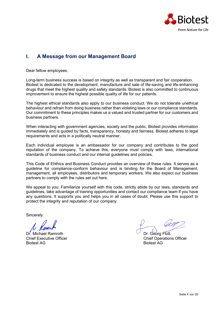

## <span id="page-3-0"></span>**I. A Message from our Management Board**

Dear fellow employees,

Long-term business success is based on integrity as well as transparent and fair cooperation. Biotest is dedicated to the development, manufacture and sale of life-saving and life-enhancing drugs that meet the highest quality and safety standards. Biotest is also committed to continuous improvement to ensure the highest possible quality of life for our patients.

The highest ethical standards also apply to our business conduct. We do not tolerate unethical behaviour and refrain from doing business rather than violating laws or our compliance standards. Our commitment to these principles makes us a valued and trusted partner for our customers and business partners.

When interacting with government agencies, society and the public, Biotest provides information immediately and is guided by facts, transparency, honesty and fairness. Biotest adheres to legal requirements and acts in a politically neutral manner.

Each individual employee is an ambassador for our company and contributes to the good reputation of the company. To achieve this, everyone must comply with laws, international standards of business conduct and our internal guidelines and policies.

This Code of Ehthics and Business Conduct provides an overview of these rules. It serves as a guideline for compliance-conform behaviour and is binding for the Board of Management, management, all employees, distributors and temporary workers. We also expect our business partners to comply with the rules set out here.

We appeal to you: Familiarize yourself with this code, strictly abide by our laws, standards and guidelines, take advantage of training opportunities and contact our compliance team if you have any questions. It supports you and helps you in all cases of doubt. Please use this support to protect the integrity and reputation of our company.

**Sincerely** 

Dr. Michael Ramroth Dr. Georg Floß Biotest AG Biotest AG

Chief Executive Officer Chief Operations Officer Chief Operations Officer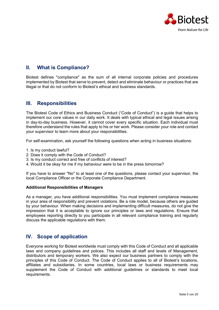

## <span id="page-4-0"></span>**II. What is Compliance?**

Biotest defines "compliance" as the sum of all internal corporate policies and procedures implemented by Biotest that serve to prevent, detect and eliminate behaviour or practices that are illegal or that do not conform to Biotest's ethical and business standards.

## <span id="page-4-1"></span>**III. Responsibilities**

The Biotest Code of Ethics and Business Conduct ("Code of Conduct") is a guide that helps to implement our core values in our daily work. It deals with typical ethical and legal issues arising in day-to-day business. However, it cannot cover every specific situation. Each individual must therefore understand the rules that apply to his or her work. Please consider your role and contact your supervisor to learn more about your responsibilities.

For self-examination, ask yourself the following questions when acting in business situations:

- 1. Is my conduct lawful?
- 2. Does it comply with the Code of Conduct?
- 3. Is my conduct correct and free of conflicts of interest?
- 4. Would it be okay for me if my behaviour were to be in the press tomorrow?

If you have to answer "No" to at least one of the questions, please contact your supervisor, the local Compliance Officer or the Corporate Compliance Department.

#### **Additional Responsibilities of Managers**

As a manager, you have additional responsibilities. You must implement compliance measures in your area of responsibility and prevent violations. Be a role model, because others are guided by your behaviour. When making decisions and implementing difficult measures, do not give the impression that it is acceptable to ignore our principles or laws and regulations. Ensure that employees reporting directly to you participate in all relevant compliance training and regularly discuss the applicable regulations with them.

## <span id="page-4-2"></span>**IV. Scope of application**

Everyone working for Biotest worldwide must comply with this Code of Conduct and all applicable laws and company guidelines and polices. This includes all staff and levels of Management, distributors and temporary workers. We also expect our business partners to comply with the principles of this Code of Conduct. The Code of Conduct applies to all of Biotest's locations, affiliates and subsidiaries. In some countries, local laws or business requirements may supplement the Code of Conduct with additional guidelines or standards to meet local requirements.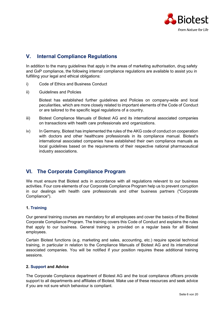

## <span id="page-5-0"></span>**V. Internal Compliance Regulations**

In addition to the many guidelines that apply in the areas of marketing authorisation, drug safety and GxP compliance, the following internal compliance regulations are available to assist you in fulfilling your legal and ethical obligations:

- i) Code of Ethics and Business Conduct
- ii) Guidelines and Policies

Biotest has established further guidelines and Policies on company-wide and local peculiarities, which are more closely related to important elements of the Code of Conduct or are tailored to the specific legal regulations of a country.

- iii) Biotest Compliance Manuals of Biotest AG and its international associated companies on transactions with health care professionals and organizations.
- iv) In Germany, Biotest has implemented the rules of the AKG code of conduct on cooperation with doctors and other healthcare professionals in its compliance manual. Biotest's international associated companies have established their own compliance manuals as local guidelines based on the requirements of their respective national pharmaceutical industry associations.

## <span id="page-5-1"></span>**VI. The Corporate Compliance Program**

We must ensure that Biotest acts in accordance with all regulations relevant to our business activities. Four core elements of our Corporate Compliance Program help us to prevent corruption in our dealings with health care professionals and other business partners ("Corporate Compliance").

#### <span id="page-5-2"></span>**1. Training**

Our general training courses are mandatory for all employees and cover the basics of the Biotest Corporate Compliance Program. The training covers this Code of Conduct and explains the rules that apply to our business. General training is provided on a regular basis for all Biotest employees.

Certain Biotest functions (e.g. marketing and sales, accounting, etc.) require special technical training, in particular in relation to the Compliance Manuals of Biotest AG and its international associated companies. You will be notified if your position requires these additional training sessions.

#### <span id="page-5-3"></span>**2. Support and Advice**

The Corporate Compliance department of Biotest AG and the local compliance officers provide support to all departments and affiliates of Biotest. Make use of these resources and seek advice if you are not sure which behaviour is compliant.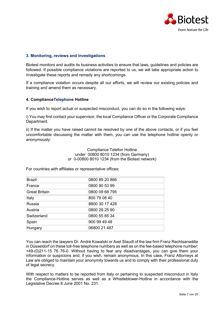

#### <span id="page-6-0"></span>**3. Monitoring, reviews and investigations**

Biotest monitors and audits its business activities to ensure that laws, guidelines and policies are followed. If possible compliance violations are reported to us, we will take appropriate action to investigate these reports and remedy any shortcomings.

If a compliance violation occurs despite all our efforts, we will review our existing policies and training and amend them as necessary.

#### <span id="page-6-1"></span>**4. ComplianceTelephone Hotline**

If you wish to report actual or suspected misconduct, you can do so in the following ways:

i) You may first contact your supervisor, the local Compliance Officer or the Corporate Compliance Department.

ii) If the matter you have raised cannot be resolved by one of the above contacts, or if you feel uncomfortable discussing the matter with them, you can use the telephone hotline openly or anonymously:

> Compliance Telefon Hotline under 00800 8010 1234 (from Germany) or 0-00800 8010 1234 (from the Biotest network)

For countries with affiliates or representative offices:

| <b>Brazil</b>        | 0800 89 20 866 |
|----------------------|----------------|
| France               | 0800 90 53 99  |
| <b>Great Britain</b> | 0800 09 68 795 |
| Italy                | 800 79 08 40   |
| Russia               | 8800 30 17 428 |
| Austria              | 0800 29 25 90  |
| Switzerland          | 0800 55 85 34  |
| Spain                | 900 99 49 48   |
| Hungary              | 06800 21 487   |

You can reach the lawyers Dr. André Kowalski or Axel Staudt of the law firm Franz Rechtsanwälte in Düsseldorf on these toll-free telephone numbers as well as on the fee-based telephone number: +49-(0)211-15 76 76-0. Without having to fear any disadvantages, you can give them your information or suspicions and, if you wish, remain anonymous. In this case, Franz Attorneys at Law are obliged to maintain your anonymity towards us and to comply with their professional duty of legal secrecy.

With respect to matters to be reported from Italy or pertaining to suspected misconduct in Italy the Compliance-Hotline serves as well as a Whistleblower-Hotline in accordance with the Legislative Decree 8 June 2001 No. 231.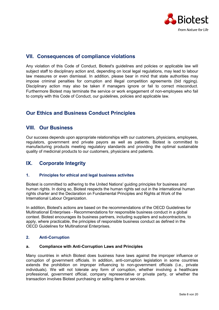

## <span id="page-7-0"></span>**VII. Consequences of compliance violations**

Any violation of this Code of Conduct, Biotest's guidelines and policies or applicable law will subject staff to disciplinary action and, depending on local legal regulations, may lead to labour law measures or even dismissal. In addition, please bear in mind that state authorities may impose criminal penalties for corruption and illegal competition agreements (bid rigging). Disciplinary action may also be taken if managers ignore or fail to correct misconduct. Furthermore Biotest may terminate the service or work engagement of non-employees who fail to comply with this Code of Conduct, our guidelines, policies and applicable law.

## <span id="page-7-1"></span>**Our Ethics and Business Conduct Principles**

## <span id="page-7-2"></span>**VIII. Our Business**

Our success depends upon appropriate relationships with our customers, physicians, employees, regulators, government and private payors as well as patients. Biotest is committed to manufacturing products meeting regulatory standards and providing the optimal sustainable quality of medicinal products to our customers, physicians and patients.

## <span id="page-7-3"></span>**IX. Corporate Integrity**

#### <span id="page-7-4"></span>**1. Principles for ethical and legal business activites**

Biotest is committed to adhering to the United Nations' guiding principles for business and human rights. In doing so, Biotest respects the human rights set out in the international human rights charter and the Declaration on Fundamental Principles and Rights at Work of the International Labour Organization.

In addition, Biotest's actions are based on the recommendations of the OECD Guidelines for Multinational Enterprises - Recommendations for responsible business conduct in a global context. Biotest encourages its business partners, including suppliers and subcontractors, to apply, where practicable, the principles of responsible business conduct as defined in the OECD Guidelines for Multinational Enterprises.

#### <span id="page-7-5"></span>**2. Anti-Corruption**

#### **a. Compliance with Anti-Corruption Laws and Principles**

Many countries in which Biotest does business have laws against the improper influence or corruption of government officials. In addition, anti-corruption legislation in some countries extends the prohibition on improper influencing to non-government officials (i.e., private individuals). We will not tolerate any form of corruption, whether involving a healthcare professional, government official, company representative or private party, or whether the transaction involves Biotest purchasing or selling items or services.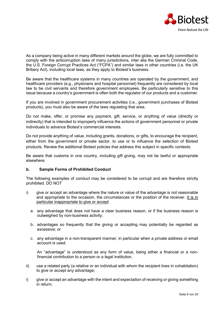

As a company being active in many different markets around the globe, we are fully committed to comply with the anticorruption laws of many jurisdictions, inter alia the German Criminal Code, the U.S. Foreign Corrupt Practices Act ("FCPA") and similar laws in other countries (i.e. the UK Bribery Act), including local laws, as they apply to Biotest's business.

Be aware that the healthcare systems in many countries are operated by the government, and healthcare providers (e.g., physicians and hospital personnel) frequently are considered by local law to be civil servants and therefore government employees. Be particularly sensitive to this issue because a country's government is often both the regulator of our products and a customer.

If you are involved in government procurement activities (i.e., government purchases of Biotest products), you must also be aware of the laws regulating that area.

Do not make, offer, or promise any payment, gift, service, or anything of value (directly or indirectly) that is intended to improperly influence the actions of government personnel or private individuals to advance Biotest's commercial interests.

Do not provide anything of value, including grants, donations, or gifts, to encourage the recipient, either from the government or private sector, to use or to influence the selection of Biotest products. Review the additional Biotest policies that address this subject in specific contexts.

Be aware that customs in one country, including gift giving, may not be lawful or appropriate elsewhere.

#### **b. Sample Forms of Prohibited Conduct**

The following examples of conduct may be considered to be corrupt and are therefore strictly prohibited. DO NOT

- i) give or accept an advantage where the nature or value of the advantage is not reasonable and appropriate to the occasion, the circumstances or the position of the receiver. It is in particular inappropriate to give or accept
	- a. any advantage that does not have a clear business reason, or if the business reason is outweighed by non-business activity;
	- b. advantages so frequently that the giving or accepting may potentially be regarded as excessive; or
	- c. any advantage in a non-transparent manner, in particular when a private address or email account is used.

An "advantage" is understood as any form of value, being either a financial or a nonfinancial contribution to a person or a legal institution.

- ii) use a related party (a relative or an individual with whom the recipient lives in cohabitation) to give or accept any advantage;
- i) give or accept an advantage with the intent and expectation of receiving or giving something in return;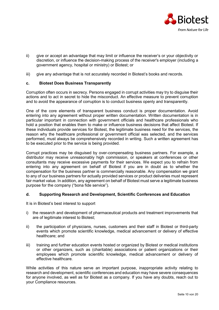

- ii) give or accept an advantage that may limit or influence the receiver's or your objectivity or discretion, or influence the decision-making process of the receiver's employer (including a government agency, hospital or ministry) or Biotest; or
- iii) give any advantage that is not accurately recorded in Biotest's books and records.

#### **c. Biotest Does Business Transparently**

Corruption often occurs in secrecy. Persons engaged in corrupt activities may try to disguise their actions and to act in secret to hide the misconduct. An effective measure to prevent corruption and to avoid the appearance of corruption is to conduct business openly and transparently.

One of the core elements of transparent business conduct is proper documentation. Avoid entering into any agreement without proper written documentation. Written documentation is in particular important in connection with government officials and healthcare professionals who hold a position that enables them to make or influence business decisions that affect Biotest. If these individuals provide services for Biotest, the legitimate business need for the services, the reason why the healthcare professional or government official was selected, and the services performed, must always be comprehensively recorded in writing. Such a written agreement has to be executed prior to the service is being provided.

Corrupt practices may be disguised by over-compensating business partners. For example, a distributor may receive unreasonably high commission, or speakers at conferences or other consultants may receive excessive payments for their services. We expect you to refrain from entering into any agreement on behalf of Biotest if you are in doubt as to whether the compensation for the business partner is commercially reasonable. Any compensation we grant to any of our business partners for actually provided services or product deliveries must represent fair market value. In addition, any agreement on behalf of Biotest must serve a legitimate business purpose for the company ("bona fide service").

#### **d. Supporting Research and Development, Scientific Conferences and Education**

It is in Biotest's best interest to support

- i) the research and development of pharmaceutical products and treatment improvements that are of legitimate interest to Biotest;
- ii) the participation of physicians, nurses, customers and their staff in Biotest or third-party events which promote scientific knowledge, medical advancement or delivery of effective healthcare; and
- iii) training and further education events hosted or organized by Biotest or medical institutions or other organizers, such as (charitable) associations or patient organizations or their employees which promote scientific knowledge, medical advancement or delivery of effective healthcare.

While activities of this nature serve an important purpose, inappropriate activity relating to research and development, scientific conferences and education may have severe consequences for anyone involved, as well as for Biotest as a company. If you have any doubts, reach out to your Compliance resources.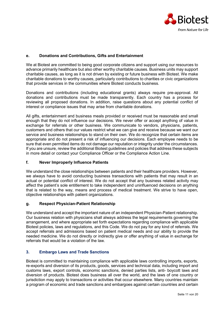

#### **e. Donations and Contributions, Gifts and Entertainment**

We at Biotest are committed to being good corporate citizens and support using our resources to advance primarily healthcare but also other worthy charitable causes. Business units may support charitable causes, as long as it is not driven by existing or future business with Biotest. We make charitable donations to worthy causes, particularly contributions to charities or civic organizations that provide services in the communities where Biotest conducts business.

Donations and contributions (including educational grants) always require pre-approval. All donations and contributions must be made transparently. Each country has a process for reviewing all proposed donations. In addition, raise questions about any potential conflict of interest or compliance issues that may arise from charitable donations.

All gifts, entertainment and business meals provided or received must be reasonable and small enough that they do not influence our decisions. We never offer or accept anything of value in exchange for referrals or other business. We communicate to vendors, physicians, patients, customers and others that our values restrict what we can give and receive because we want our service and business relationships to stand on their own. We do recognize that certain items are appropriate and do not present a risk of influencing our decisions. Each employee needs to be sure that even permitted items do not damage our reputation or integrity under the circumstances. If you are unsure, review the additional Biotest guidelines and policies that address these subjects in more detail or contact your Compliance Officer or the Compliance Action Line.

#### **f. Never Improperly Influence Patients**

We understand the close relationships between patients and their healthcare providers. However, we always have to avoid conducting business transactions with patients that may result in an actual or potential conflict of interest. We do not accept that any business related activity may affect the patient's sole entitlement to take independent and uninfluenced decisions on anything that is related to the way, means and process of medical treatment. We strive to have open, objective relationships with patient organizations.

#### **g. Respect Physician-Patient Relationship**

We understand and accept the important nature of an independent Physician-Patient relationship. Our business relation with physicians shall always address the legal requirements governing the arrangement, and where appropriate set forth expectations regarding compliance with applicable Biotest policies, laws and regulations, and this Code. We do not pay for any kind of referrals. We accept referrals and admissions based on patient medical needs and our ability to provide the needed medicine. We do not directly or indirectly give or offer anything of value in exchange for referrals that would be a violation of the law.

#### <span id="page-10-0"></span>**3. Embargo Laws and Trade Sanctions**

Biotest is committed to maintaining compliance with applicable laws controlling imports, exports, re-exports and diversion of its products, goods, services and technical data, including import and customs laws, export controls, economic sanctions, denied parties lists, anti- boycott laws and diversion of products. Biotest does business all over the world, and the laws of one country or jurisdiction may apply to transactions or activities that occur elsewhere. Many countries maintain a program of economic and trade sanctions and embargoes against certain countries and certain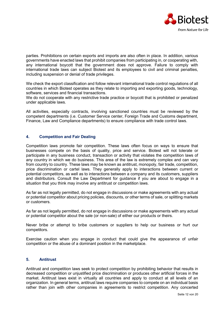

parties. Prohibitions on certain exports and imports are also often in place. In addition, various governments have enacted laws that prohibit companies from participating in, or cooperating with, any international boycott that the government does not approve. Failure to comply with international trade laws can subject Biotest and its employees to civil and criminal penalties, including suspension or denial of trade privileges.

We check the export classification and follow relevant international trade control regulations of all countries in which Biotest operates as they relate to importing and exporting goods, technology, software, services and financial transactions.

We do not cooperate with any restrictive trade practice or boycott that is prohibited or penalized under applicable laws.

All activities, especially contracts, involving sanctioned countries must be reviewed by the competent departments (i.e. Customer Service center, Foreign Trade and Customs department, Finance, Law and Compliance departments) to ensure compliance with trade control laws.

#### <span id="page-11-0"></span>**4. Competition and Fair Dealing**

Competition laws promote fair competition. These laws often focus on ways to ensure that businesses compete on the basis of quality, price and service. Biotest will not tolerate or participate in any business conduct, transaction or activity that violates the competition laws of any country in which we do business. This area of the law is extremely complex and can vary from country to country. These laws may be known as antitrust, monopoly, fair trade, competition, price discrimination or cartel laws. They generally apply to interactions between current or potential competitors, as well as to interactions between a company and its customers, suppliers and distributors. Consult the Law Department for guidance if you are about to engage in a situation that you think may involve any antitrust or competition laws.

As far as not legally permitted, do not engage in discussions or make agreements with any actual or potential competitor about pricing policies, discounts, or other terms of sale, or splitting markets or customers.

As far as not legally permitted, do not engage in discussions or make agreements with any actual or potential competitor about the sale (or non-sale) of either our products or theirs.

Never bribe or attempt to bribe customers or suppliers to help our business or hurt our competitors.

Exercise caution when you engage in conduct that could give the appearance of unfair competition or the abuse of a dominant position in the marketplace.

#### <span id="page-11-1"></span>**5. Antitrust**

Antitrust and competition laws seek to protect competition by prohibiting behavior that results in decreased competition or unjustified price discrimination or produces other artificial forces in the market. Antitrust laws exist in virtually all countries and apply to conduct at all levels of an organization. In general terms, antitrust laws require companies to compete on an individual basis rather than join with other companies in agreements to restrict competition. Any concerted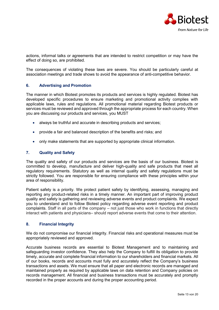

actions, informal talks or agreements that are intended to restrict competition or may have the effect of doing so, are prohibited.

The consequences of violating these laws are severe. You should be particularly careful at association meetings and trade shows to avoid the appearance of anti-competitive behavior.

#### <span id="page-12-0"></span>**6. Advertising and Promotion**

The manner in which Biotest promotes its products and services is highly regulated. Biotest has developed specific procedures to ensure marketing and promotional activity complies with applicable laws, rules and regulations. All promotional material regarding Biotest products or services must be reviewed and approved through the appropriate process for each country. When you are discussing our products and services, you MUST

- always be truthful and accurate in describing products and services;
- provide a fair and balanced description of the benefits and risks; and
- only make statements that are supported by appropriate clinical information.

#### <span id="page-12-1"></span>**7. Quality and Safety**

The quality and safety of our products and services are the basis of our business. Biotest is committed to develop, manufacture and deliver high-quality and safe products that meet all regulatory requirements. Statutory as well as internal quality and safety regulations must be strictly followed. You are responsible for ensuring compliance with these principles within your area of responsibility.

Patient safety is a priority. We protect patient safety by identifying, assessing, managing and reporting any product-related risks in a timely manner. An important part of improving product quality and safety is gathering and reviewing adverse events and product complaints. We expect you to understand and to follow Biotest policy regarding adverse event reporting and product complaints. Staff in all parts of the company – not just those who work in functions that directly interact with patients and physicians– should report adverse events that come to their attention.

#### <span id="page-12-2"></span>**8. Financial Integrity**

We do not compromise our financial integrity. Financial risks and operational measures must be appropriately reviewed and approved.

Accurate business records are essential to Biotest Management and to maintaining and safeguarding investor confidence. They also help the Company to fulfill its obligation to provide timely, accurate and complete financial information to our shareholders and financial markets. All of our books, records and accounts must fully and accurately reflect the Company's business transactions and assets. We must ensure that all paper and electronic records are managed and maintained properly as required by applicable laws on data retention and Company policies on records management. All financial and business transactions must be accurately and promptly recorded in the proper accounts and during the proper accounting period.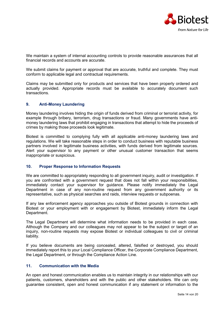

We maintain a system of internal accounting controls to provide reasonable assurances that all financial records and accounts are accurate.

We submit claims for payment or approval that are accurate, truthful and complete. They must conform to applicable legal and contractual requirements.

Claims may be submitted only for products and services that have been properly ordered and actually provided. Appropriate records must be available to accurately document such transactions.

#### <span id="page-13-0"></span>**9. Anti-Money Laundering**

Money laundering involves hiding the origin of funds derived from criminal or terrorist activity, for example through bribery, terrorism, drug transactions or fraud. Many governments have antimoney laundering laws that prohibit engaging in transactions that attempt to hide the proceeds of crimes by making those proceeds look legitimate.

Biotest is committed to complying fully with all applicable anti-money laundering laws and regulations. We will take reasonable steps in order to conduct business with reputable business partners involved in legitimate business activities, with funds derived from legitimate sources. Alert your supervisor to any payment or other unusual customer transaction that seems inappropriate or suspicious.

#### <span id="page-13-1"></span>**10. Proper Response to Information Requests**

We are committed to appropriately responding to all government inquiry, audit or investigation. If you are confronted with a government request that does not fall within your responsibilities, immediately contact your supervisor for guidance. Please notify immediately the Legal Department in case of any non-routine request from any government authority or its representative, such as physical searches and raids, interview requests or subpoenas.

If any law enforcement agency approaches you outside of Biotest grounds in connection with Biotest or your employment with or engagement by Biotest, immediately inform the Legal Department.

The Legal Department will determine what information needs to be provided in each case. Although the Company and our colleagues may not appear to be the subject or target of an inquiry, non-routine requests may expose Biotest or individual colleagues to civil or criminal liability.

If you believe documents are being concealed, altered, falsified or destroyed, you should immediately report this to your Local Compliance Officer, the Corporate Compliance Department, the Legal Department, or through the Compliance Action Line.

#### <span id="page-13-2"></span>**11. Communication with the Media**

An open and honest communication enables us to maintain integrity in our relationships with our patients, customers, shareholders and with the public and other stakeholders. We can only guarantee consistent, open and honest communication if any statement or information to the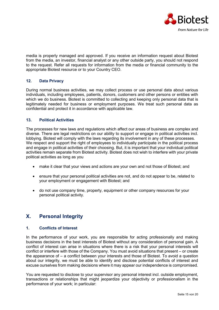

media is properly managed and approved. If you receive an information request about Biotest from the media, an investor, financial analyst or any other outside party, you should not respond to the request. Refer all requests for information from the media or financial community to the appropriate Biotest resource or to your Country CEO.

#### <span id="page-14-0"></span>**12. Data Privacy**

During normal business activities, we may collect process or use personal data about various individuals, including employees, patients, donors, customers and other persons or entities with which we do business. Biotest is committed to collecting and keeping only personal data that is legitimately needed for business or employment purposes. We treat such personal data as confidential and protect it in accordance with applicable law.

#### <span id="page-14-1"></span>**13. Political Activities**

The processes for new laws and regulations which affect our areas of business are complex and diverse. There are legal restrictions on our ability to support or engage in political activities incl. lobbying. Biotest will comply with the laws regarding its involvement in any of these processes. We respect and support the right of employees to individually participate in the political process and engage in political activities of their choosing. But, it is important that your individual political activities remain separate from Biotest activity. Biotest does not wish to interfere with your private political activities as long as you

- make it clear that your views and actions are your own and not those of Biotest; and
- ensure that your personal political activities are not, and do not appear to be, related to your employment or engagement with Biotest; and
- do not use company time, property, equipment or other company resources for your personal political activity.

## <span id="page-14-2"></span>**X. Personal Integrity**

#### <span id="page-14-3"></span>**1. Conflicts of Interest**

In the performance of your work, you are responsible for acting professionally and making business decisions in the best interests of Biotest without any consideration of personal gain. A conflict of interest can arise in situations where there is a risk that your personal interests will conflict or interfere with those of the Company. You must avoid situations that present – or create the appearance of – a conflict between your interests and those of Biotest. To avoid a question about our integrity, we must be able to identify and disclose potential conflicts of interest and excuse ourselves from making decisions where it may appear our independence is compromised.

You are requested to disclose to your supervisor any personal interest incl. outside employment, transactions or relationships that might jeopardize your objectivity or professionalism in the performance of your work; in particular: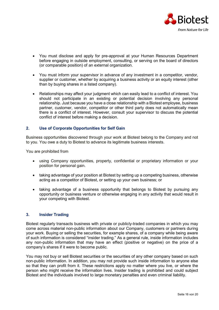

- You must disclose and apply for pre-approval at your Human Resources Department before engaging in outside employment, consulting, or serving on the board of directors (or comparable position) of an external organization.
- You must inform your supervisor in advance of any investment in a competitor, vendor, supplier or customer, whether by acquiring a business activity or an equity interest (other than by buying shares in a listed company).
- Relationships may affect your judgment which can easily lead to a conflict of interest. You should not participate in an existing or potential decision involving any personal relationship. Just because you have a close relationship with a Biotest employee, business partner, customer, vendor, competitor or other third party does not automatically mean there is a conflict of interest. However, consult your supervisor to discuss the potential conflict of interest before making a decision.

#### <span id="page-15-0"></span>**2. Use of Corporate Opportunities for Self Gain**

Business opportunities discovered through your work at Biotest belong to the Company and not to you. You owe a duty to Biotest to advance its legitimate business interests.

You are prohibited from

- using Company opportunities, property, confidential or proprietary information or your position for personal gain.
- taking advantage of your position at Biotest by setting up a competing business, otherwise acting as a competitor of Biotest, or setting up your own business; or
- taking advantage of a business opportunity that belongs to Biotest by pursuing any opportunity or business venture or otherwise engaging in any activity that would result in your competing with Biotest.

#### <span id="page-15-1"></span>**3. Insider Trading**

Biotest regularly transacts business with private or publicly-traded companies in which you may come across material non-public information about our Company, customers or partners during your work. Buying or selling the securities, for example shares, of a company while being aware of such information is considered "insider trading." As a general rule, inside information includes any non-public information that may have an effect (positive or negative) on the price of a company's shares if it were to become public.

You may not buy or sell Biotest securities or the securities of any other company based on such non-public information. In addition, you may not provide such inside information to anyone else so that they can profit from it. These restrictions apply no matter where you live, or where the person who might receive the information lives. Insider trading is prohibited and could subject Biotest and the individuals involved to large monetary penalties and even criminal liability.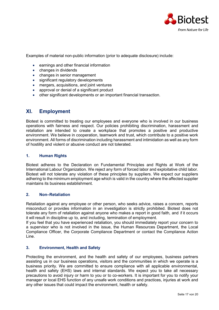

Examples of material non-public information (prior to adequate disclosure) include:

- earnings and other financial information
- changes in dividends
- changes in senior management
- significant regulatory developments
- mergers, acquisitions, and joint ventures
- approval or denial of a significant product
- other significant developments or an important financial transaction.

### <span id="page-16-0"></span>**XI. Employment**

Biotest is committed to treating our employees and everyone who is involved in our business operations with fairness and respect. Our policies prohibiting discrimination, harassment and retaliation are intended to create a workplace that promotes a positive and productive environment. We believe in cooperation, teamwork and trust, which contribute to a positive work environment. All forms of discrimination including harassment and intimidation as well as any form of hostility and violent or abusive conduct are not tolerated.

#### <span id="page-16-1"></span>**1. Human Rights**

Biotest adheres to the Declaration on Fundamental Principles and Rights at Work of the International Labour Organization. We reject any form of forced labor and exploitative child labor. Biotest will not tolerate any violation of these principles by suppliers. We expect our suppliers adhering to the minimum employment age which is valid in the country where the affected supplier maintains its business establishment.

#### <span id="page-16-2"></span>**2. Non–Retaliation**

Retaliation against any employee or other person, who seeks advice, raises a concern, reports misconduct or provides information in an investigation is strictly prohibited. Biotest does not tolerate any form of retaliation against anyone who makes a report in good faith, and if it occurs it will result in discipline up to, and including, termination of employment.

If you feel that you have experienced retaliation, you should immediately report your concern to a supervisor who is not involved in the issue, the Human Resources Department, the Local Compliance Officer, the Corporate Compliance Department or contact the Compliance Action Line.

#### <span id="page-16-3"></span>**3. Environment, Health and Safety**

Protecting the environment, and the health and safety of our employees, business partners assisting us in our business operations, visitors and the communities in which we operate is a business priority. We are committed to ensure compliance with all applicable environmental, health and safety (EHS) laws and internal standards. We expect you to take all necessary precautions to avoid injury or harm to you or to co-workers. It is important for you to notify your manager or local EHS function of any unsafe work conditions and practices, injuries at work and any other issues that could impact the environment, health or safety.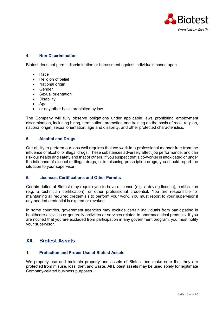

#### <span id="page-17-0"></span>**4. Non-Discrimination**

Biotest does not permit discrimination or harassment against individuals based upon

- Race
- Religion of belief
- National origin
- Gender
- Sexual orientation
- Disability
- Age
- or any other basis prohibited by law.

The Company will fully observe obligations under applicable laws prohibiting employment discrimination, including hiring, termination, promotion and training on the basis of race, religion, national origin, sexual orientation, age and disability, and other protected characteristics.

#### <span id="page-17-1"></span>**5. Alcohol and Drugs**

Our ability to perform our jobs well requires that we work in a professional manner free from the influence of alcohol or illegal drugs. These substances adversely affect job performance, and can risk our health and safety and that of others. If you suspect that a co-worker is intoxicated or under the influence of alcohol or illegal drugs, or is misusing prescription drugs, you should report the situation to your supervisor.

#### <span id="page-17-2"></span>**6. Licenses, Certifications and Other Permits**

Certain duties at Biotest may require you to have a license (e.g. a driving license), certification (e.g. a technician certification), or other professional credential. You are responsible for maintaining all required credentials to perform your work. You must report to your supervisor if any needed credential is expired or revoked.

In some countries, government agencies may exclude certain individuals from participating in healthcare activities or generally activities or services related to pharmaceutical products. If you are notified that you are excluded from participation in any government program, you must notify your supervisor.

## <span id="page-17-3"></span>**XII. Biotest Assets**

#### <span id="page-17-4"></span>**1. Protection and Proper Use of Biotest Assets**

We properly use and maintain property and assets of Biotest and make sure that they are protected from misuse, loss, theft and waste. All Biotest assets may be used solely for legitimate Company-related business purposes.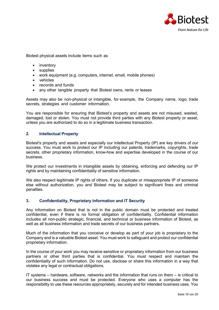

Biotest physical assets include items such as

- inventory
- supplies
- work equipment (e.g. computers, internet, email, mobile phones)
- vehicles
- records and funds
- any other tangible property that Biotest owns, rents or leases

Assets may also be non-physical or intangible, for example, the Company name, logo, trade secrets, strategies and customer information.

You are responsible for ensuring that Biotest's property and assets are not misused, wasted, damaged, lost or stolen. You must not provide third parties with any Biotest property or asset, unless you are authorized to do so in a legitimate business transaction.

#### <span id="page-18-0"></span>**2. Intellectual Property**

Biotest's property and assets and especially our Intellectual Property (IP) are key drivers of our success. You must work to protect our IP including our patents, trademarks, copyrights, trade secrets, other proprietary information, know-how and expertise developed in the course of our business.

We protect our investments in intangible assets by obtaining, enforcing and defending our IP rights and by maintaining confidentiality of sensitive information.

We also respect legitimate IP rights of others. If you duplicate or misappropriate IP of someone else without authorization, you and Biotest may be subject to significant fines and criminal penalties.

#### <span id="page-18-1"></span>**3. Confidentiality, Proprietary Information and IT Security**

Any information on Biotest that is not in the public domain must be protected and treated confidential, even if there is no formal obligation of confidentiality. Confidential information includes all non-public strategic, financial, and technical or business information of Biotest, as well as all business information and trade secrets of our business partners.

Much of the information that you conceive or develop as part of your job is proprietary to the Company and is a valuable Biotest asset. You must work to safeguard and protect our confidential proprietary information.

In the course of your work you may receive sensitive or proprietary information from our business partners or other third parties that is confidential. You must respect and maintain the confidentiality of such information. Do not use, disclose or share this information in a way that violates any legal or contractual obligations.

IT systems – hardware, software, networks and the information that runs on them – is critical to our business success and must be protected. Everyone who uses a computer has the responsibility to use these resources appropriately, securely and for intended business uses. You